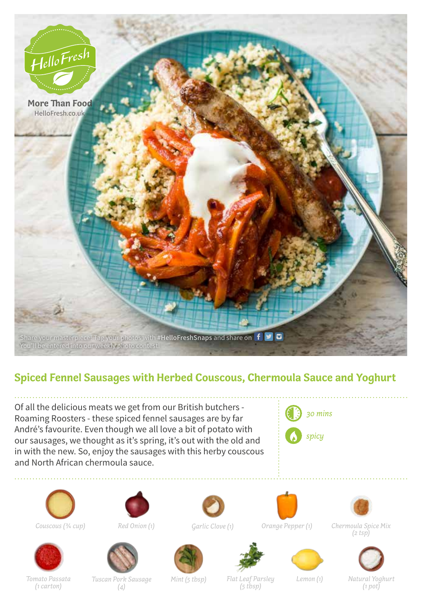

## **Spiced Fennel Sausages with Herbed Couscous, Chermoula Sauce and Yoghurt**

Of all the delicious meats we get from our British butchers - Roaming Roosters - these spiced fennel sausages are by far André's favourite. Even though we all love a bit of potato with our sausages, we thought as it's spring, it's out with the old and in with the new. So, enjoy the sausages with this herby couscous and North African chermoula sauce.











*Garlic Clove (1)*





*Couscous (3/4 cup) Red Onion (1) Orange Pepper (1) Chermoula Spice Mix (2 tsp)*



*Tomato Passata (1 carton)*

*Tuscan Pork Sausage Mint (5 tbsp) (4)*

*Flat Leaf Parsley (5 tbsp)*

*Lemon (1)*

*Natural Yoghurt (1 pot)*